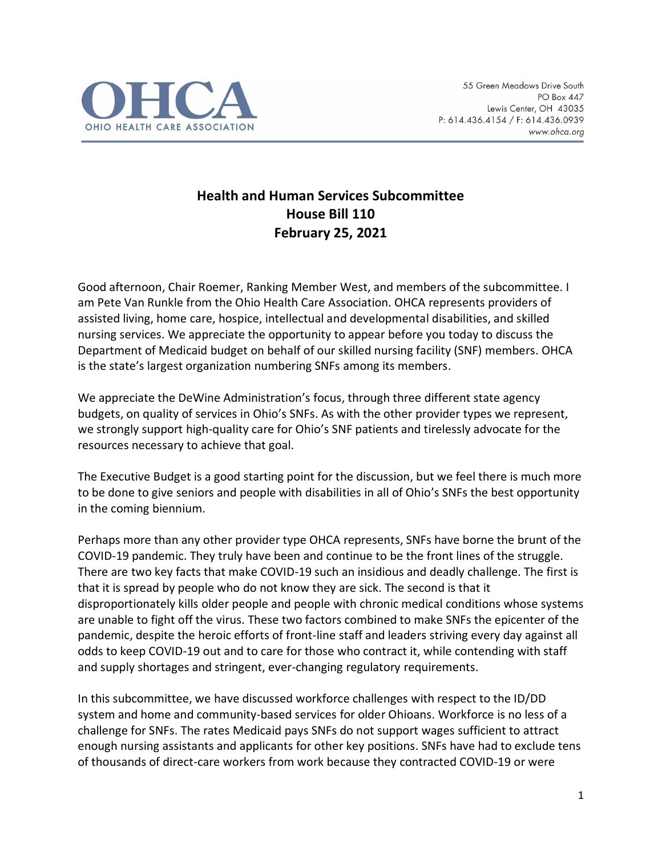

## **Health and Human Services Subcommittee House Bill 110 February 25, 2021**

Good afternoon, Chair Roemer, Ranking Member West, and members of the subcommittee. I am Pete Van Runkle from the Ohio Health Care Association. OHCA represents providers of assisted living, home care, hospice, intellectual and developmental disabilities, and skilled nursing services. We appreciate the opportunity to appear before you today to discuss the Department of Medicaid budget on behalf of our skilled nursing facility (SNF) members. OHCA is the state's largest organization numbering SNFs among its members.

We appreciate the DeWine Administration's focus, through three different state agency budgets, on quality of services in Ohio's SNFs. As with the other provider types we represent, we strongly support high-quality care for Ohio's SNF patients and tirelessly advocate for the resources necessary to achieve that goal.

The Executive Budget is a good starting point for the discussion, but we feel there is much more to be done to give seniors and people with disabilities in all of Ohio's SNFs the best opportunity in the coming biennium.

Perhaps more than any other provider type OHCA represents, SNFs have borne the brunt of the COVID-19 pandemic. They truly have been and continue to be the front lines of the struggle. There are two key facts that make COVID-19 such an insidious and deadly challenge. The first is that it is spread by people who do not know they are sick. The second is that it disproportionately kills older people and people with chronic medical conditions whose systems are unable to fight off the virus. These two factors combined to make SNFs the epicenter of the pandemic, despite the heroic efforts of front-line staff and leaders striving every day against all odds to keep COVID-19 out and to care for those who contract it, while contending with staff and supply shortages and stringent, ever-changing regulatory requirements.

In this subcommittee, we have discussed workforce challenges with respect to the ID/DD system and home and community-based services for older Ohioans. Workforce is no less of a challenge for SNFs. The rates Medicaid pays SNFs do not support wages sufficient to attract enough nursing assistants and applicants for other key positions. SNFs have had to exclude tens of thousands of direct-care workers from work because they contracted COVID-19 or were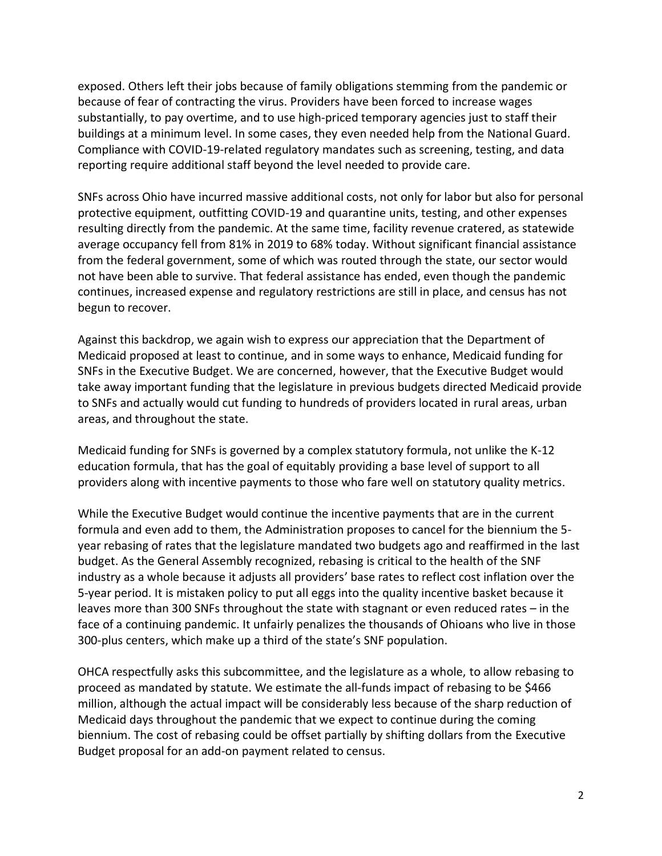exposed. Others left their jobs because of family obligations stemming from the pandemic or because of fear of contracting the virus. Providers have been forced to increase wages substantially, to pay overtime, and to use high-priced temporary agencies just to staff their buildings at a minimum level. In some cases, they even needed help from the National Guard. Compliance with COVID-19-related regulatory mandates such as screening, testing, and data reporting require additional staff beyond the level needed to provide care.

SNFs across Ohio have incurred massive additional costs, not only for labor but also for personal protective equipment, outfitting COVID-19 and quarantine units, testing, and other expenses resulting directly from the pandemic. At the same time, facility revenue cratered, as statewide average occupancy fell from 81% in 2019 to 68% today. Without significant financial assistance from the federal government, some of which was routed through the state, our sector would not have been able to survive. That federal assistance has ended, even though the pandemic continues, increased expense and regulatory restrictions are still in place, and census has not begun to recover.

Against this backdrop, we again wish to express our appreciation that the Department of Medicaid proposed at least to continue, and in some ways to enhance, Medicaid funding for SNFs in the Executive Budget. We are concerned, however, that the Executive Budget would take away important funding that the legislature in previous budgets directed Medicaid provide to SNFs and actually would cut funding to hundreds of providers located in rural areas, urban areas, and throughout the state.

Medicaid funding for SNFs is governed by a complex statutory formula, not unlike the K-12 education formula, that has the goal of equitably providing a base level of support to all providers along with incentive payments to those who fare well on statutory quality metrics.

While the Executive Budget would continue the incentive payments that are in the current formula and even add to them, the Administration proposes to cancel for the biennium the 5 year rebasing of rates that the legislature mandated two budgets ago and reaffirmed in the last budget. As the General Assembly recognized, rebasing is critical to the health of the SNF industry as a whole because it adjusts all providers' base rates to reflect cost inflation over the 5-year period. It is mistaken policy to put all eggs into the quality incentive basket because it leaves more than 300 SNFs throughout the state with stagnant or even reduced rates – in the face of a continuing pandemic. It unfairly penalizes the thousands of Ohioans who live in those 300-plus centers, which make up a third of the state's SNF population.

OHCA respectfully asks this subcommittee, and the legislature as a whole, to allow rebasing to proceed as mandated by statute. We estimate the all-funds impact of rebasing to be \$466 million, although the actual impact will be considerably less because of the sharp reduction of Medicaid days throughout the pandemic that we expect to continue during the coming biennium. The cost of rebasing could be offset partially by shifting dollars from the Executive Budget proposal for an add-on payment related to census.